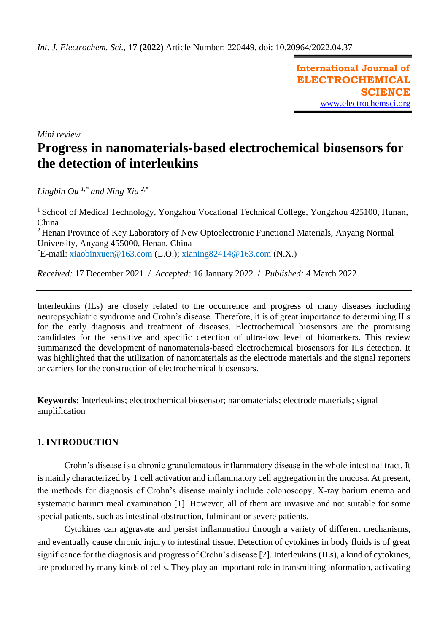**International Journal of ELECTROCHEMICAL SCIENCE** [www.electrochemsci.org](http://www.electrochemsci.org/)

*Mini review*

# **Progress in nanomaterials-based electrochemical biosensors for the detection of interleukins**

*Lingbin Ou 1,\* and Ning Xia 2,\**

<sup>1</sup> School of Medical Technology, Yongzhou Vocational Technical College, Yongzhou 425100, Hunan, China <sup>2</sup> Henan Province of Key Laboratory of New Optoelectronic Functional Materials, Anyang Normal University, Anyang 455000, Henan, China *\**E-mail: [xiaobinxuer@163.com](mailto:xiaobinxuer@163.com) (L.O.); [xianing82414@163.com](mailto:xianing82414@163.com) (N.X.)

*Received:* 17 December 2021/ *Accepted:* 16 January 2022 / *Published:* 4 March 2022

Interleukins (ILs) are closely related to the occurrence and progress of many diseases including neuropsychiatric syndrome and Crohn's disease. Therefore, it is of great importance to determining ILs for the early diagnosis and treatment of diseases. Electrochemical biosensors are the promising candidates for the sensitive and specific detection of ultra-low level of biomarkers. This review summarized the development of nanomaterials-based electrochemical biosensors for ILs detection. It was highlighted that the utilization of nanomaterials as the electrode materials and the signal reporters or carriers for the construction of electrochemical biosensors.

**Keywords:** Interleukins; electrochemical biosensor; nanomaterials; electrode materials; signal amplification

# **1. INTRODUCTION**

Crohn's disease is a chronic granulomatous inflammatory disease in the whole intestinal tract. It is mainly characterized by T cell activation and inflammatory cell aggregation in the mucosa. At present, the methods for diagnosis of Crohn's disease mainly include colonoscopy, X-ray barium enema and systematic barium meal examination [1]. However, all of them are invasive and not suitable for some special patients, such as intestinal obstruction, fulminant or severe patients.

Cytokines can aggravate and persist inflammation through a variety of different mechanisms, and eventually cause chronic injury to intestinal tissue. Detection of cytokines in body fluids is of great significance for the diagnosis and progress of Crohn's disease [2]. Interleukins (ILs), a kind of cytokines, are produced by many kinds of cells. They play an important role in transmitting information, activating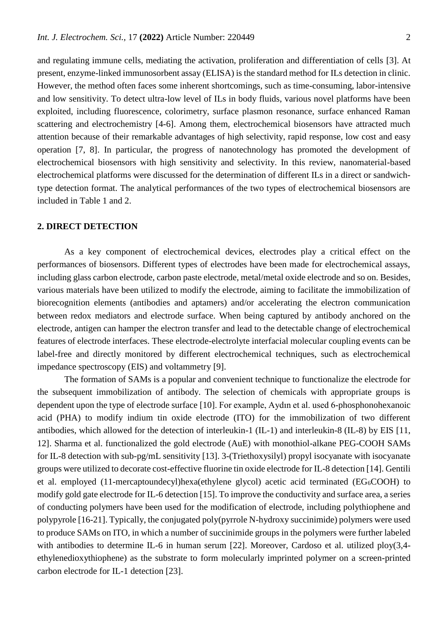and regulating immune cells, mediating the activation, proliferation and differentiation of cells [3]. At present, enzyme-linked immunosorbent assay (ELISA) is the standard method for ILs detection in clinic. However, the method often faces some inherent shortcomings, such as time-consuming, labor-intensive and low sensitivity. To detect ultra-low level of ILs in body fluids, various novel platforms have been exploited, including fluorescence, colorimetry, surface plasmon resonance, surface enhanced Raman scattering and electrochemistry [4-6]. Among them, electrochemical biosensors have attracted much attention because of their remarkable advantages of high selectivity, rapid response, low cost and easy operation [7, 8]. In particular, the progress of nanotechnology has promoted the development of electrochemical biosensors with high sensitivity and selectivity. In this review, nanomaterial-based electrochemical platforms were discussed for the determination of different ILs in a direct or sandwichtype detection format. The analytical performances of the two types of electrochemical biosensors are included in Table 1 and 2.

## **2. DIRECT DETECTION**

As a key component of electrochemical devices, electrodes play a critical effect on the performances of biosensors. Different types of electrodes have been made for electrochemical assays, including glass carbon electrode, carbon paste electrode, metal/metal oxide electrode and so on. Besides, various materials have been utilized to modify the electrode, aiming to facilitate the immobilization of biorecognition elements (antibodies and aptamers) and/or accelerating the electron communication between redox mediators and electrode surface. When being captured by antibody anchored on the electrode, antigen can hamper the electron transfer and lead to the detectable change of electrochemical features of electrode interfaces. These electrode-electrolyte interfacial molecular coupling events can be label-free and directly monitored by different electrochemical techniques, such as electrochemical impedance spectroscopy (EIS) and voltammetry [9].

The formation of SAMs is a popular and convenient technique to functionalize the electrode for the subsequent immobilization of antibody. The selection of chemicals with appropriate groups is dependent upon the type of electrode surface [10]. For example, Aydın et al. used 6-phosphonohexanoic acid (PHA) to modify indium tin oxide electrode (ITO) for the immobilization of two different antibodies, which allowed for the detection of interleukin-1 (IL-1) and interleukin-8 (IL-8) by EIS [11, 12]. Sharma et al. functionalized the gold electrode (AuE) with monothiol-alkane PEG-COOH SAMs for IL-8 detection with sub-pg/mL sensitivity [13]. 3-(Triethoxysilyl) propyl isocyanate with isocyanate groups were utilized to decorate cost-effective fluorine tin oxide electrode for IL-8 detection [14]. Gentili et al. employed (11-mercaptoundecyl)hexa(ethylene glycol) acetic acid terminated ( $EG<sub>6</sub>COOH$ ) to modify gold gate electrode for IL-6 detection [15]. To improve the conductivity and surface area, a series of conducting polymers have been used for the modification of electrode, including polythiophene and polypyrole [16-21]. Typically, the conjugated poly(pyrrole N-hydroxy succinimide) polymers were used to produce SAMs on ITO, in which a number of succinimide groups in the polymers were further labeled with antibodies to determine IL-6 in human serum [22]. Moreover, Cardoso et al. utilized ploy(3,4ethylenedioxythiophene) as the substrate to form molecularly imprinted polymer on a screen-printed carbon electrode for IL-1 detection [23].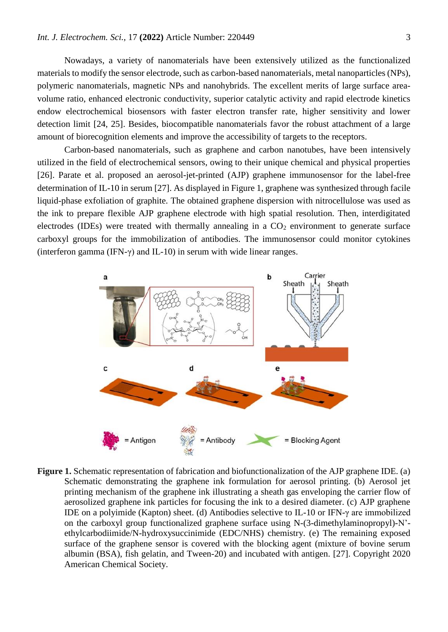Nowadays, a variety of nanomaterials have been extensively utilized as the functionalized materials to modify the sensor electrode, such as carbon-based nanomaterials, metal nanoparticles (NPs), polymeric nanomaterials, magnetic NPs and nanohybrids. The excellent merits of large surface areavolume ratio, enhanced electronic conductivity, superior catalytic activity and rapid electrode kinetics endow electrochemical biosensors with faster electron transfer rate, higher sensitivity and lower detection limit [24, 25]. Besides, biocompatible nanomaterials favor the robust attachment of a large amount of biorecognition elements and improve the accessibility of targets to the receptors.

Carbon-based nanomaterials, such as graphene and carbon nanotubes, have been intensively utilized in the field of electrochemical sensors, owing to their unique chemical and physical properties [26]. Parate et al. proposed an aerosol-jet-printed (AJP) graphene immunosensor for the label-free determination of IL-10 in serum [27]. As displayed in Figure 1, graphene was synthesized through facile liquid-phase exfoliation of graphite. The obtained graphene dispersion with nitrocellulose was used as the ink to prepare flexible AJP graphene electrode with high spatial resolution. Then, interdigitated electrodes (IDEs) were treated with thermally annealing in a  $CO<sub>2</sub>$  environment to generate surface carboxyl groups for the immobilization of antibodies. The immunosensor could monitor cytokines (interferon gamma (IFN- $\gamma$ ) and IL-10) in serum with wide linear ranges.



**Figure 1.** Schematic representation of fabrication and biofunctionalization of the AJP graphene IDE. (a) Schematic demonstrating the graphene ink formulation for aerosol printing. (b) Aerosol jet printing mechanism of the graphene ink illustrating a sheath gas enveloping the carrier flow of aerosolized graphene ink particles for focusing the ink to a desired diameter. (c) AJP graphene IDE on a polyimide (Kapton) sheet. (d) Antibodies selective to IL-10 or IFN-γ are immobilized on the carboxyl group functionalized graphene surface using N-(3-dimethylaminopropyl)-N' ethylcarbodiimide/N-hydroxysuccinimide (EDC/NHS) chemistry. (e) The remaining exposed surface of the graphene sensor is covered with the blocking agent (mixture of bovine serum albumin (BSA), fish gelatin, and Tween-20) and incubated with antigen. [27]. Copyright 2020 American Chemical Society.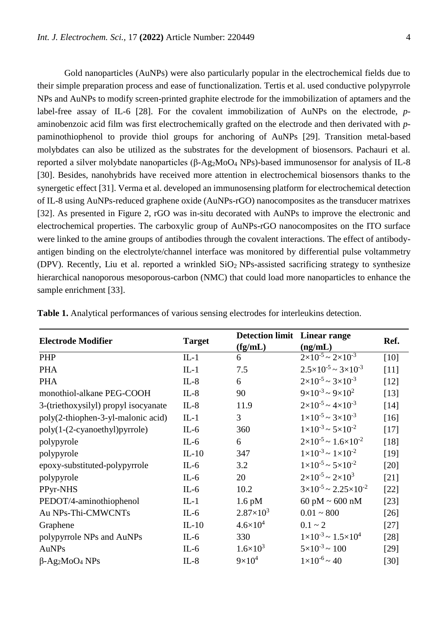Gold nanoparticles (AuNPs) were also particularly popular in the electrochemical fields due to their simple preparation process and ease of functionalization. Tertis et al. used conductive polypyrrole NPs and AuNPs to modify screen-printed graphite electrode for the immobilization of aptamers and the label-free assay of IL-6 [28]. For the covalent immobilization of AuNPs on the electrode, *p*aminobenzoic acid film was first electrochemically grafted on the electrode and then derivated with *p*paminothiophenol to provide thiol groups for anchoring of AuNPs [29]. Transition metal-based molybdates can also be utilized as the substrates for the development of biosensors. Pachauri et al. reported a silver molybdate nanoparticles (β-Ag2MoO<sup>4</sup> NPs)-based immunosensor for analysis of IL-8 [30]. Besides, nanohybrids have received more attention in electrochemical biosensors thanks to the synergetic effect [31]. Verma et al. developed an immunosensing platform for electrochemical detection of IL-8 using AuNPs-reduced graphene oxide (AuNPs-rGO) nanocomposites as the transducer matrixes [32]. As presented in Figure 2, rGO was in-situ decorated with AuNPs to improve the electronic and electrochemical properties. The carboxylic group of AuNPs-rGO nanocomposites on the ITO surface were linked to the amine groups of antibodies through the covalent interactions. The effect of antibodyantigen binding on the electrolyte/channel interface was monitored by differential pulse voltammetry (DPV). Recently, Liu et al. reported a wrinkled  $SiO<sub>2</sub>$  NPs-assisted sacrificing strategy to synthesize hierarchical nanoporous mesoporous-carbon (NMC) that could load more nanoparticles to enhance the sample enrichment [33].

| <b>Electrode Modifier</b>                     | <b>Target</b> | <b>Detection limit</b> Linear range<br>(fg/mL) | (ng/mL)                                    | Ref.   |
|-----------------------------------------------|---------------|------------------------------------------------|--------------------------------------------|--------|
| PHP                                           | $IL-1$        | 6                                              | $2\times10^{-5}$ ~ $2\times10^{-3}$        | [10]   |
| <b>PHA</b>                                    | $IL-1$        | 7.5                                            | $2.5 \times 10^{-5} \sim 3 \times 10^{-3}$ | $[11]$ |
| <b>PHA</b>                                    | $IL-8$        | 6                                              | $2\times10^{-5}$ ~ 3 $\times10^{-3}$       | $[12]$ |
| monothiol-alkane PEG-COOH                     | $IL-8$        | 90                                             | $9 \times 10^{-3}$ ~ $9 \times 10^{2}$     | [13]   |
| 3-(triethoxysilyl) propyl isocyanate          | $IL-8$        | 11.9                                           | $2 \times 10^{-5} \sim 4 \times 10^{-3}$   | [14]   |
| poly(2-thiophen-3-yl-malonic acid)            | $IL-1$        | 3                                              | $1 \times 10^{-5}$ ~ 3×10 <sup>-3</sup>    | $[16]$ |
| poly(1-(2-cyanoethyl)pyrrole)                 | $IL-6$        | 360                                            | $1 \times 10^{-3}$ ~ $5 \times 10^{-2}$    | $[17]$ |
| polypyrole                                    | $IL-6$        | 6                                              | $2\times10^{-5}$ ~ 1.6 $\times10^{-2}$     | [18]   |
| polypyrole                                    | $IL-10$       | 347                                            | $1 \times 10^{-3}$ ~ $1 \times 10^{-2}$    | $[19]$ |
| epoxy-substituted-polypyrrole                 | $IL-6$        | 3.2                                            | $1 \times 10^{-5}$ ~ $5 \times 10^{-2}$    | $[20]$ |
| polypyrole                                    | $IL-6$        | 20                                             | $2 \times 10^{-5}$ ~ $2 \times 10^3$       | $[21]$ |
| PPyr-NHS                                      | $IL-6$        | 10.2                                           | $3\times10^{-5}$ ~ 2.25 $\times10^{-2}$    | $[22]$ |
| PEDOT/4-aminothiophenol                       | $IL-1$        | $1.6$ pM                                       | 60 pM $\sim$ 600 nM                        | $[23]$ |
| Au NPs-Thi-CMWCNTs                            | $IL-6$        | $2.87\times10^{3}$                             | $0.01 - 800$                               | $[26]$ |
| Graphene                                      | $IL-10$       | $4.6 \times 10^{4}$                            | $0.1 - 2$                                  | $[27]$ |
| polypyrrole NPs and AuNPs                     | $IL-6$        | 330                                            | $1 \times 10^{-3}$ ~ $1.5 \times 10^{4}$   | $[28]$ |
| AuNPs                                         | $IL-6$        | $1.6 \times 10^3$                              | $5 \times 10^{-3} \sim 100$                | $[29]$ |
| $\beta$ -Ag <sub>2</sub> MoO <sub>4</sub> NPs | $IL-8$        | $9\times10^4$                                  | $1 \times 10^{-6}$ ~ 40                    | $[30]$ |

**Table 1.** Analytical performances of various sensing electrodes for interleukins detection.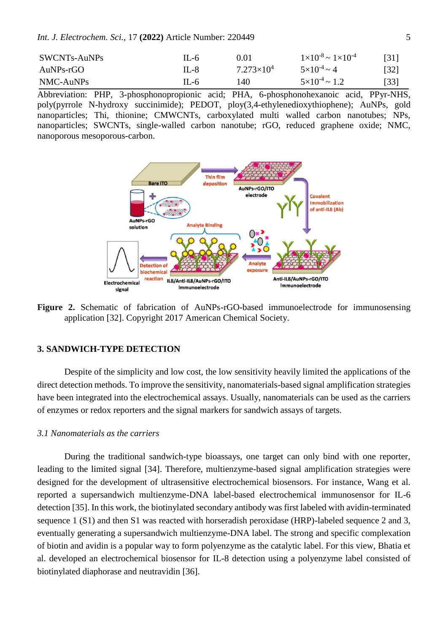*Int. J. Electrochem. Sci.,* 17 **(2022)** Article Number: 220449 5

| SWCNTs-AuNPs | $II - 6$ | 0.01                | $1 \times 10^{-8}$ ~ $1 \times 10^{-4}$ | [31]               |
|--------------|----------|---------------------|-----------------------------------------|--------------------|
| AuNPs-rGO    | $II - 8$ | $7.273\times10^{4}$ | $5 \times 10^{-4} \sim 4$               | $\lceil 32 \rceil$ |
| NMC-AuNPs    | $IL - 6$ | 140                 | $5 \times 10^{-4} \approx 1.2$          | [33]               |

Abbreviation: PHP, 3-phosphonopropionic acid; PHA, 6-phosphonohexanoic acid, PPyr-NHS, poly(pyrrole N-hydroxy succinimide); PEDOT, ploy(3,4-ethylenedioxythiophene); AuNPs, gold nanoparticles; Thi, thionine; CMWCNTs, carboxylated multi walled carbon nanotubes; NPs, nanoparticles; SWCNTs, single-walled carbon nanotube; rGO, reduced graphene oxide; NMC, nanoporous mesoporous-carbon.



**Figure 2.** Schematic of fabrication of AuNPs-rGO-based immunoelectrode for immunosensing application [32]. Copyright 2017 American Chemical Society.

# **3. SANDWICH-TYPE DETECTION**

Despite of the simplicity and low cost, the low sensitivity heavily limited the applications of the direct detection methods. To improve the sensitivity, nanomaterials-based signal amplification strategies have been integrated into the electrochemical assays. Usually, nanomaterials can be used as the carriers of enzymes or redox reporters and the signal markers for sandwich assays of targets.

### *3.1 Nanomaterials as the carriers*

During the traditional sandwich-type bioassays, one target can only bind with one reporter, leading to the limited signal [34]. Therefore, multienzyme-based signal amplification strategies were designed for the development of ultrasensitive electrochemical biosensors. For instance, Wang et al. reported a supersandwich multienzyme-DNA label-based electrochemical immunosensor for IL-6 detection [35]. In this work, the biotinylated secondary antibody was first labeled with avidin-terminated sequence 1 (S1) and then S1 was reacted with horseradish peroxidase (HRP)-labeled sequence 2 and 3, eventually generating a supersandwich multienzyme-DNA label. The strong and specific complexation of biotin and avidin is a popular way to form polyenzyme as the catalytic label. For this view, Bhatia et al. developed an electrochemical biosensor for IL-8 detection using a polyenzyme label consisted of biotinylated diaphorase and neutravidin [36].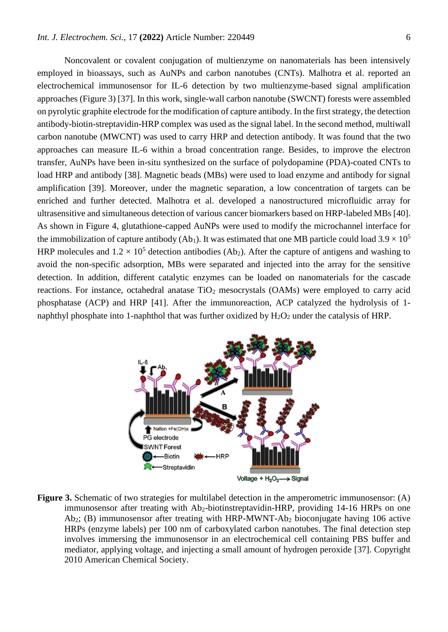Noncovalent or covalent conjugation of multienzyme on nanomaterials has been intensively employed in bioassays, such as AuNPs and carbon nanotubes (CNTs). Malhotra et al. reported an electrochemical immunosensor for IL-6 detection by two multienzyme-based signal amplification approaches (Figure 3) [37]. In this work, single-wall carbon nanotube (SWCNT) forests were assembled on pyrolytic graphite electrode for the modification of capture antibody. In the first strategy, the detection antibody-biotin-streptavidin-HRP complex was used as the signal label. In the second method, multiwall carbon nanotube (MWCNT) was used to carry HRP and detection antibody. It was found that the two approaches can measure IL-6 within a broad concentration range. Besides, to improve the electron transfer, AuNPs have been in-situ synthesized on the surface of polydopamine (PDA)-coated CNTs to load HRP and antibody [38]. Magnetic beads (MBs) were used to load enzyme and antibody for signal amplification [39]. Moreover, under the magnetic separation, a low concentration of targets can be enriched and further detected. Malhotra et al. developed a nanostructured microfluidic array for ultrasensitive and simultaneous detection of various cancer biomarkers based on HRP-labeled MBs [40]. As shown in Figure 4, glutathione-capped AuNPs were used to modify the microchannel interface for the immobilization of capture antibody (Ab<sub>1</sub>). It was estimated that one MB particle could load  $3.9 \times 10^5$ HRP molecules and  $1.2 \times 10^5$  detection antibodies (Ab<sub>2</sub>). After the capture of antigens and washing to avoid the non-specific adsorption, MBs were separated and injected into the array for the sensitive detection. In addition, different catalytic enzymes can be loaded on nanomaterials for the cascade reactions. For instance, octahedral anatase  $TiO<sub>2</sub>$  mesocrystals (OAMs) were employed to carry acid phosphatase (ACP) and HRP [41]. After the immunoreaction, ACP catalyzed the hydrolysis of 1 naphthyl phosphate into 1-naphthol that was further oxidized by  $H_2O_2$  under the catalysis of HRP.



**Figure 3.** Schematic of two strategies for multilabel detection in the amperometric immunosensor: (A) immunosensor after treating with Ab<sub>2</sub>-biotinstreptavidin-HRP, providing 14-16 HRPs on one Ab2; (B) immunosensor after treating with HRP-MWNT-Ab<sup>2</sup> bioconjugate having 106 active HRPs (enzyme labels) per 100 nm of carboxylated carbon nanotubes. The final detection step involves immersing the immunosensor in an electrochemical cell containing PBS buffer and mediator, applying voltage, and injecting a small amount of hydrogen peroxide [37]. Copyright 2010 American Chemical Society.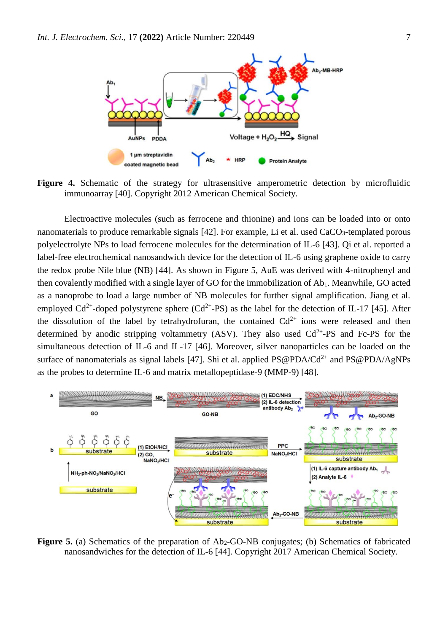

**Figure 4.** Schematic of the strategy for ultrasensitive amperometric detection by microfluidic immunoarray [40]. Copyright 2012 American Chemical Society.

Electroactive molecules (such as ferrocene and thionine) and ions can be loaded into or onto nanomaterials to produce remarkable signals [42]. For example, Li et al. used CaCO<sub>3</sub>-templated porous polyelectrolyte NPs to load ferrocene molecules for the determination of IL-6 [43]. Qi et al. reported a label-free electrochemical nanosandwich device for the detection of IL-6 using graphene oxide to carry the redox probe Nile blue (NB) [44]. As shown in Figure 5, AuE was derived with 4-nitrophenyl and then covalently modified with a single layer of GO for the immobilization of Ab<sub>1</sub>. Meanwhile, GO acted as a nanoprobe to load a large number of NB molecules for further signal amplification. Jiang et al. employed Cd<sup>2+</sup>-doped polystyrene sphere (Cd<sup>2+</sup>-PS) as the label for the detection of IL-17 [45]. After the dissolution of the label by tetrahydrofuran, the contained  $Cd^{2+}$  ions were released and then determined by anodic stripping voltammetry (ASV). They also used  $Cd^{2+}$ -PS and Fc-PS for the simultaneous detection of IL-6 and IL-17 [46]. Moreover, silver nanoparticles can be loaded on the surface of nanomaterials as signal labels [47]. Shi et al. applied  $PS@PDA/Cd^{2+}$  and  $PS@PDA/AgNPs$ as the probes to determine IL-6 and matrix metallopeptidase-9 (MMP-9) [48].



**Figure 5.** (a) Schematics of the preparation of Ab<sub>2</sub>-GO-NB conjugates; (b) Schematics of fabricated nanosandwiches for the detection of IL-6 [44]. Copyright 2017 American Chemical Society.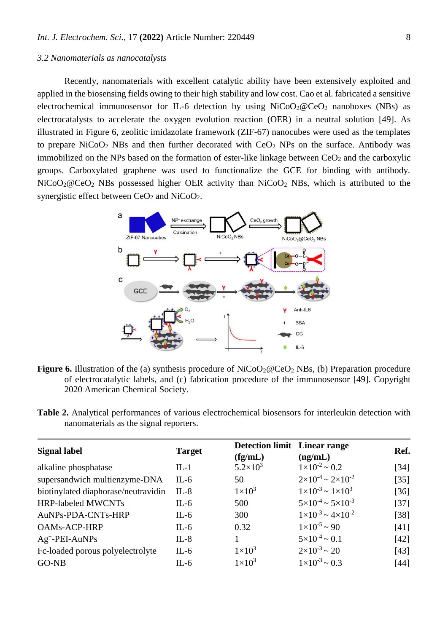## *3.2 Nanomaterials as nanocatalysts*

Recently, nanomaterials with excellent catalytic ability have been extensively exploited and applied in the biosensing fields owing to their high stability and low cost. Cao et al. fabricated a sensitive electrochemical immunosensor for IL-6 detection by using  $NiCoO<sub>2</sub>@CeO<sub>2</sub>$  nanoboxes (NBs) as electrocatalysts to accelerate the oxygen evolution reaction (OER) in a neutral solution [49]. As illustrated in Figure 6, zeolitic imidazolate framework (ZIF-67) nanocubes were used as the templates to prepare  $NiCoO<sub>2</sub> NBs$  and then further decorated with  $CeO<sub>2</sub> NPs$  on the surface. Antibody was immobilized on the NPs based on the formation of ester-like linkage between  $CeO<sub>2</sub>$  and the carboxylic groups. Carboxylated graphene was used to functionalize the GCE for binding with antibody.  $NiCoO<sub>2</sub>@CeO<sub>2</sub> NBs possessed higher OER activity than NiCoO<sub>2</sub> NBs, which is attributed to the$ synergistic effect between  $CeO<sub>2</sub>$  and  $NiCoO<sub>2</sub>$ .



- **Figure 6.** Illustration of the (a) synthesis procedure of NiCoO<sub>2</sub>@CeO<sub>2</sub> NBs, (b) Preparation procedure of electrocatalytic labels, and (c) fabrication procedure of the immunosensor [49]. Copyright 2020 American Chemical Society.
- **Table 2.** Analytical performances of various electrochemical biosensors for interleukin detection with nanomaterials as the signal reporters.

| <b>Signal label</b>                 | <b>Target</b> | <b>Detection limit</b> Linear range |                                         | Ref.               |
|-------------------------------------|---------------|-------------------------------------|-----------------------------------------|--------------------|
|                                     |               | (fg/mL)                             | (ng/mL)                                 |                    |
| alkaline phosphatase                | $IL-1$        | $5.2 \times 10^3$                   | $1 \times 10^{-2}$ ~ 0.2                | $[34]$             |
| supersandwich multienzyme-DNA       | IL-6          | 50                                  | $2\times10^{-4}$ ~ $2\times10^{-2}$     | $[35]$             |
| biotinylated diaphorase/neutravidin | $IL-8$        | $1\times10^3$                       | $1 \times 10^{-3}$ ~ $1 \times 10^{3}$  | $\lceil 36 \rceil$ |
| <b>HRP-labeled MWCNTs</b>           | $IL-6$        | 500                                 | $5 \times 10^{-4}$ ~ $5 \times 10^{-3}$ | $[37]$             |
| AuNPs-PDA-CNTs-HRP                  | $IL-6$        | 300                                 | $1 \times 10^{-3}$ ~ $4 \times 10^{-2}$ | $[38]$             |
| <b>OAMs-ACP-HRP</b>                 | $IL-6$        | 0.32                                | $1 \times 10^{-5}$ ~ 90                 | $[41]$             |
| $Ag^+$ -PEI-AuNPs                   | $IL-8$        |                                     | $5 \times 10^{-4} \sim 0.1$             | $[42]$             |
| Fc-loaded porous polyelectrolyte    | $IL-6$        | $1\times10^3$                       | $2 \times 10^{-3} \sim 20$              | [43]               |
| GO-NB                               | $IL-6$        | $1\times10^3$                       | $1 \times 10^{-3} \sim 0.3$             | $[44]$             |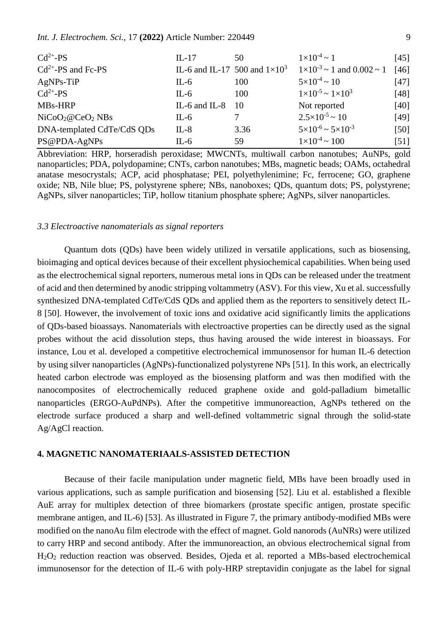## *Int. J. Electrochem. Sci.,* 17 **(2022)** Article Number: 220449 9

| $Cd^{2+}PS$                              | $IL-17$                              | 50   | $1 \times 10^{-4}$ ~ 1                       | $[45]$ |
|------------------------------------------|--------------------------------------|------|----------------------------------------------|--------|
| $Cd^{2+}$ -PS and Fc-PS                  | IL-6 and IL-17 500 and $1\times10^3$ |      | $1 \times 10^{-3} \sim 1$ and $0.002 \sim 1$ | $[46]$ |
| $AgNPs-TiP$                              | $IL-6$                               | 100  | $5 \times 10^{-4} \sim 10$                   | $[47]$ |
| $Cd^{2+}-PS$                             | $IL-6$                               | 100  | $1 \times 10^{-5}$ ~ $1 \times 10^{3}$       | $[48]$ |
| MBs-HRP                                  | IL-6 and IL-8                        | -10  | Not reported                                 | [40]   |
| NiCoO <sub>2</sub> @CeO <sub>2</sub> NBs | $IL-6$                               |      | $2.5 \times 10^{-5} \sim 10$                 | [49]   |
| DNA-templated CdTe/CdS QDs               | $IL-8$                               | 3.36 | $5 \times 10^{-6}$ ~ $5 \times 10^{-3}$      | $[50]$ |
| PS@PDA-AgNPs                             | $IL-6$                               | 59   | $1 \times 10^{-4}$ ~ 100                     | $[51]$ |

Abbreviation: HRP, horseradish peroxidase; MWCNTs, multiwall carbon nanotubes; AuNPs, gold nanoparticles; PDA, polydopamine; CNTs, carbon nanotubes; MBs, magnetic beads; OAMs, octahedral anatase mesocrystals; ACP, acid phosphatase; PEI, polyethylenimine; Fc, ferrocene; GO, graphene oxide; NB, Nile blue; PS, polystyrene sphere; NBs, nanoboxes; QDs, quantum dots; PS, polystyrene; AgNPs, silver nanoparticles; TiP, hollow titanium phosphate sphere; AgNPs, silver nanoparticles.

## *3.3 Electroactive nanomaterials as signal reporters*

Quantum dots (QDs) have been widely utilized in versatile applications, such as biosensing, bioimaging and optical devices because of their excellent physiochemical capabilities. When being used as the electrochemical signal reporters, numerous metal ions in QDs can be released under the treatment of acid and then determined by anodic stripping voltammetry (ASV). For this view, Xu et al. successfully synthesized DNA-templated CdTe/CdS QDs and applied them as the reporters to sensitively detect IL-8 [50]. However, the involvement of toxic ions and oxidative acid significantly limits the applications of QDs-based bioassays. Nanomaterials with electroactive properties can be directly used as the signal probes without the acid dissolution steps, thus having aroused the wide interest in bioassays. For instance, Lou et al. developed a competitive electrochemical immunosensor for human IL-6 detection by using silver nanoparticles (AgNPs)-functionalized polystyrene NPs [51]. In this work, an electrically heated carbon electrode was employed as the biosensing platform and was then modified with the nanocomposites of electrochemically reduced graphene oxide and gold-palladium bimetallic nanoparticles (ERGO-AuPdNPs). After the competitive immunoreaction, AgNPs tethered on the electrode surface produced a sharp and well-defined voltammetric signal through the solid-state Ag/AgCl reaction.

#### **4. MAGNETIC NANOMATERIAALS-ASSISTED DETECTION**

Because of their facile manipulation under magnetic field, MBs have been broadly used in various applications, such as sample purification and biosensing [52]. Liu et al. established a flexible AuE array for multiplex detection of three biomarkers (prostate specific antigen, prostate specific membrane antigen, and IL-6) [53]. As illustrated in Figure 7, the primary antibody-modified MBs were modified on the nanoAu film electrode with the effect of magnet. Gold nanorods (AuNRs) were utilized to carry HRP and second antibody. After the immunoreaction, an obvious electrochemical signal from H2O<sup>2</sup> reduction reaction was observed. Besides, Ojeda et al. reported a MBs-based electrochemical immunosensor for the detection of IL-6 with poly-HRP streptavidin conjugate as the label for signal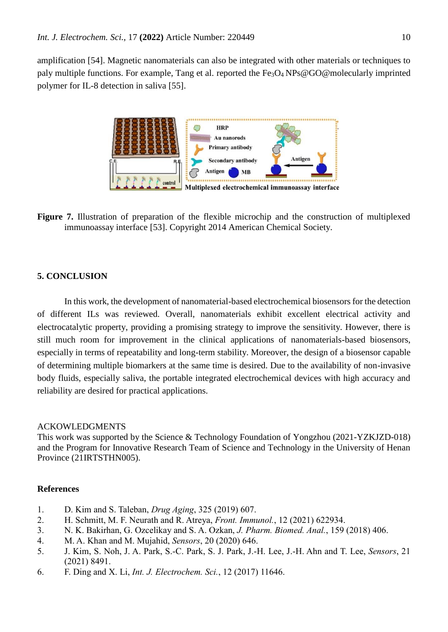amplification [54]. Magnetic nanomaterials can also be integrated with other materials or techniques to paly multiple functions. For example, Tang et al. reported the  $Fe<sub>3</sub>O<sub>4</sub>NP<sub>S</sub>@GO@molecularly imprinted$ polymer for IL-8 detection in saliva [55].



**Figure 7.** Illustration of preparation of the flexible microchip and the construction of multiplexed immunoassay interface [53]. Copyright 2014 American Chemical Society.

# **5. CONCLUSION**

In this work, the development of nanomaterial-based electrochemical biosensors for the detection of different ILs was reviewed. Overall, nanomaterials exhibit excellent electrical activity and electrocatalytic property, providing a promising strategy to improve the sensitivity. However, there is still much room for improvement in the clinical applications of nanomaterials-based biosensors, especially in terms of repeatability and long-term stability. Moreover, the design of a biosensor capable of determining multiple biomarkers at the same time is desired. Due to the availability of non-invasive body fluids, especially saliva, the portable integrated electrochemical devices with high accuracy and reliability are desired for practical applications.

## ACKOWLEDGMENTS

This work was supported by the Science & Technology Foundation of Yongzhou (2021-YZKJZD-018) and the Program for Innovative Research Team of Science and Technology in the University of Henan Province (21IRTSTHN005).

## **References**

- 1. D. Kim and S. Taleban, *Drug Aging*, 325 (2019) 607.
- 2. H. Schmitt, M. F. Neurath and R. Atreya, *Front. Immunol.*, 12 (2021) 622934.
- 3. N. K. Bakirhan, G. Ozcelikay and S. A. Ozkan, *J. Pharm. Biomed. Anal.*, 159 (2018) 406.
- 4. M. A. Khan and M. Mujahid, *Sensors*, 20 (2020) 646.
- 5. J. Kim, S. Noh, J. A. Park, S.-C. Park, S. J. Park, J.-H. Lee, J.-H. Ahn and T. Lee, *Sensors*, 21 (2021) 8491.
- 6. F. Ding and X. Li, *Int. J. Electrochem. Sci.*, 12 (2017) 11646.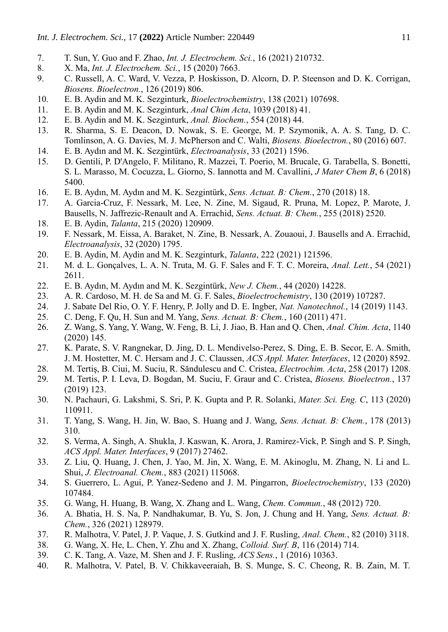- 7. T. Sun, Y. Guo and F. Zhao, *Int. J. Electrochem. Sci.*, 16 (2021) 210732.
- 8. X. Ma, *Int. J. Electrochem. Sci.*, 15 (2020) 7663.
- 9. C. Russell, A. C. Ward, V. Vezza, P. Hoskisson, D. Alcorn, D. P. Steenson and D. K. Corrigan, *Biosens. Bioelectron.*, 126 (2019) 806.
- 10. E. B. Aydin and M. K. Sezginturk, *Bioelectrochemistry*, 138 (2021) 107698.
- 11. E. B. Aydin and M. K. Sezginturk, *Anal Chim Acta*, 1039 (2018) 41.
- 12. E. B. Aydin and M. K. Sezginturk, *Anal. Biochem.*, 554 (2018) 44.
- 13. R. Sharma, S. E. Deacon, D. Nowak, S. E. George, M. P. Szymonik, A. A. S. Tang, D. C. Tomlinson, A. G. Davies, M. J. McPherson and C. Walti, *Biosens. Bioelectron.*, 80 (2016) 607.
- 14. E. B. Aydın and M. K. Sezgintürk, *Electroanalysis*, 33 (2021) 1596.
- 15. D. Gentili, P. D'Angelo, F. Militano, R. Mazzei, T. Poerio, M. Brucale, G. Tarabella, S. Bonetti, S. L. Marasso, M. Cocuzza, L. Giorno, S. Iannotta and M. Cavallini, *J Mater Chem B*, 6 (2018) 5400.
- 16. E. B. Aydın, M. Aydın and M. K. Sezgintürk, *Sens. Actuat. B: Chem.*, 270 (2018) 18.
- 17. A. Garcia-Cruz, F. Nessark, M. Lee, N. Zine, M. Sigaud, R. Pruna, M. Lopez, P. Marote, J. Bausells, N. Jaffrezic-Renault and A. Errachid, *Sens. Actuat. B: Chem.*, 255 (2018) 2520.
- 18. E. B. Aydin, *Talanta*, 215 (2020) 120909.
- 19. F. Nessark, M. Eissa, A. Baraket, N. Zine, B. Nessark, A. Zouaoui, J. Bausells and A. Errachid, *Electroanalysis*, 32 (2020) 1795.
- 20. E. B. Aydin, M. Aydin and M. K. Sezginturk, *Talanta*, 222 (2021) 121596.
- 21. M. d. L. Gonçalves, L. A. N. Truta, M. G. F. Sales and F. T. C. Moreira, *Anal. Lett.*, 54 (2021) 2611.
- 22. E. B. Aydın, M. Aydın and M. K. Sezgintürk, *New J. Chem.*, 44 (2020) 14228.
- 23. A. R. Cardoso, M. H. de Sa and M. G. F. Sales, *Bioelectrochemistry*, 130 (2019) 107287.
- 24. J. Sabate Del Rio, O. Y. F. Henry, P. Jolly and D. E. Ingber, *Nat. Nanotechnol.*, 14 (2019) 1143.
- 25. C. Deng, F. Qu, H. Sun and M. Yang, *Sens. Actuat. B: Chem.*, 160 (2011) 471.
- 26. Z. Wang, S. Yang, Y. Wang, W. Feng, B. Li, J. Jiao, B. Han and Q. Chen, *Anal. Chim. Acta*, 1140 (2020) 145.
- 27. K. Parate, S. V. Rangnekar, D. Jing, D. L. Mendivelso-Perez, S. Ding, E. B. Secor, E. A. Smith, J. M. Hostetter, M. C. Hersam and J. C. Claussen, *ACS Appl. Mater. Interfaces*, 12 (2020) 8592.
- 28. M. Tertiş, B. Ciui, M. Suciu, R. Săndulescu and C. Cristea, *Electrochim. Acta*, 258 (2017) 1208.
- 29. M. Tertis, P. I. Leva, D. Bogdan, M. Suciu, F. Graur and C. Cristea, *Biosens. Bioelectron.*, 137 (2019) 123.
- 30. N. Pachauri, G. Lakshmi, S. Sri, P. K. Gupta and P. R. Solanki, *Mater. Sci. Eng. C*, 113 (2020) 110911.
- 31. T. Yang, S. Wang, H. Jin, W. Bao, S. Huang and J. Wang, *Sens. Actuat. B: Chem.*, 178 (2013) 310.
- 32. S. Verma, A. Singh, A. Shukla, J. Kaswan, K. Arora, J. Ramirez-Vick, P. Singh and S. P. Singh, *ACS Appl. Mater. Interfaces*, 9 (2017) 27462.
- 33. Z. Liu, Q. Huang, J. Chen, J. Yao, M. Jin, X. Wang, E. M. Akinoglu, M. Zhang, N. Li and L. Shui, *J. Electroanal. Chem.*, 883 (2021) 115068.
- 34. S. Guerrero, L. Agui, P. Yanez-Sedeno and J. M. Pingarron, *Bioelectrochemistry*, 133 (2020) 107484.
- 35. G. Wang, H. Huang, B. Wang, X. Zhang and L. Wang, *Chem. Commun.*, 48 (2012) 720.
- 36. A. Bhatia, H. S. Na, P. Nandhakumar, B. Yu, S. Jon, J. Chung and H. Yang, *Sens. Actuat. B: Chem.*, 326 (2021) 128979.
- 37. R. Malhotra, V. Patel, J. P. Vaque, J. S. Gutkind and J. F. Rusling, *Anal. Chem.*, 82 (2010) 3118.
- 38. G. Wang, X. He, L. Chen, Y. Zhu and X. Zhang, *Colloid. Surf. B*, 116 (2014) 714.
- 39. C. K. Tang, A. Vaze, M. Shen and J. F. Rusling, *ACS Sens.*, 1 (2016) 10363.
- 40. R. Malhotra, V. Patel, B. V. Chikkaveeraiah, B. S. Munge, S. C. Cheong, R. B. Zain, M. T.